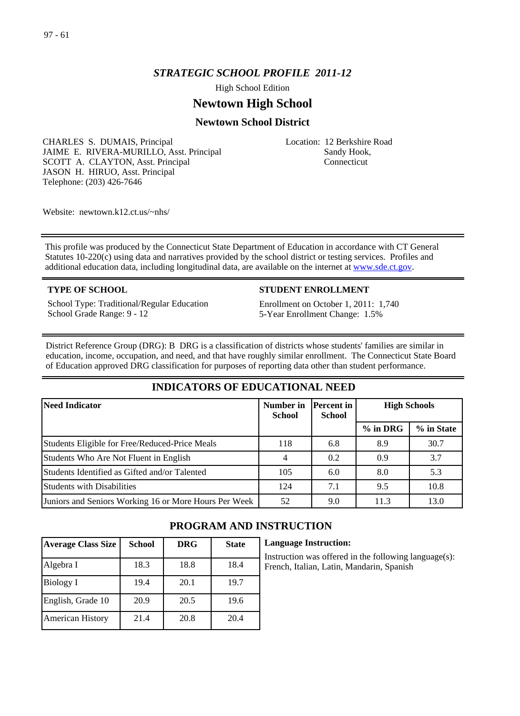# *STRATEGIC SCHOOL PROFILE 2011-12*

High School Edition

# **Newtown High School**

# **Newtown School District**

CHARLES S. DUMAIS, Principal JAIME E. RIVERA-MURILLO, Asst. Principal SCOTT A. CLAYTON, Asst. Principal JASON H. HIRUO, Asst. Principal Telephone: (203) 426-7646

Location: 12 Berkshire Road Sandy Hook, Connecticut

Website: newtown.k12.ct.us/~nhs/

This profile was produced by the Connecticut State Department of Education in accordance with CT General Statutes 10-220(c) using data and narratives provided by the school district or testing services. Profiles and additional education data, including longitudinal data, are available on the internet at [www.sde.ct.gov](http://www.sde.ct.gov/).

School Type: Traditional/Regular Education School Grade Range: 9 - 12

#### **TYPE OF SCHOOL STUDENT ENROLLMENT**

Enrollment on October 1, 2011: 1,740 5-Year Enrollment Change: 1.5%

District Reference Group (DRG): B DRG is a classification of districts whose students' families are similar in education, income, occupation, and need, and that have roughly similar enrollment. The Connecticut State Board of Education approved DRG classification for purposes of reporting data other than student performance.

# **INDICATORS OF EDUCATIONAL NEED**

| Need Indicator                                        | Number in<br><b>School</b> | Percent in <br><b>School</b> | <b>High Schools</b> |            |
|-------------------------------------------------------|----------------------------|------------------------------|---------------------|------------|
|                                                       |                            |                              | $%$ in DRG          | % in State |
| Students Eligible for Free/Reduced-Price Meals        | 118                        | 6.8                          | 8.9                 | 30.7       |
| Students Who Are Not Fluent in English                |                            | 0.2                          | 0.9                 | 3.7        |
| Students Identified as Gifted and/or Talented         | 105                        | 6.0                          | 8.0                 | 5.3        |
| <b>Students with Disabilities</b>                     | 124                        | 7.1                          | 9.5                 | 10.8       |
| Juniors and Seniors Working 16 or More Hours Per Week | 52                         | 9.0                          | 11.3                | 13.0       |

| <b>Average Class Size</b> | <b>School</b> | <b>DRG</b> | <b>State</b> |
|---------------------------|---------------|------------|--------------|
| Algebra I                 | 18.3          | 18.8       | 18.4         |
| Biology I                 | 19.4          | 20.1       | 19.7         |
| English, Grade 10         | 20.9          | 20.5       | 19.6         |
| <b>American History</b>   | 21.4          | 20.8       | 20.4         |

# **PROGRAM AND INSTRUCTION**

**Language Instruction:**

nstruction was offered in the following language(s): French, Italian, Latin, Mandarin, Spanish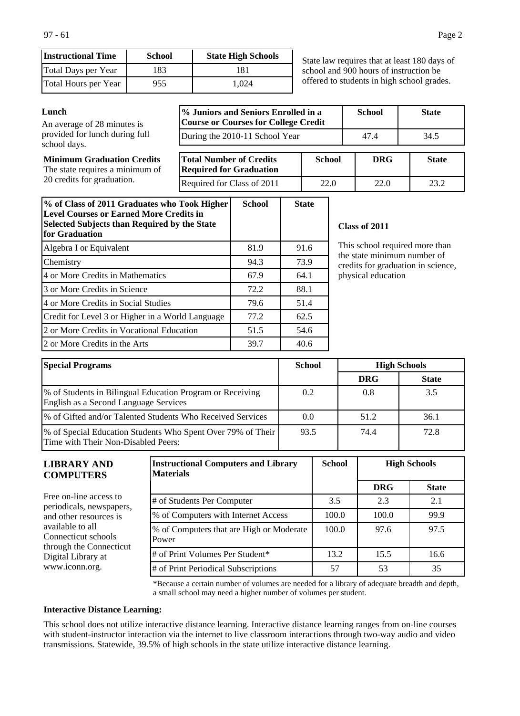| <b>Instructional Time</b> | <b>School</b> | <b>State High Schools</b> |
|---------------------------|---------------|---------------------------|
| Total Days per Year       | 183           | 181                       |
| Total Hours per Year      | 955           | 1.024                     |

State law requires that at least 180 days of school and 900 hours of instruction be offered to students in high school grades.

#### **Lunch % Juniors and Seniors Enrolled in a Course or Courses for College Credit School State** During the 2010-11 School Year 147.4 34.5 **Minimum Graduation Credits** The state requires a minimum of 20 credits for graduation. **Total Number of Credits Required for Graduation School DRG State** Required for Class of 2011 22.0 23.2 An average of 28 minutes is provided for lunch during full school days.

| % of Class of 2011 Graduates who Took Higher<br><b>Level Courses or Earned More Credits in</b><br><b>Selected Subjects than Required by the State</b><br>for Graduation | <b>School</b> | <b>State</b> |
|-------------------------------------------------------------------------------------------------------------------------------------------------------------------------|---------------|--------------|
| Algebra I or Equivalent                                                                                                                                                 | 81.9          | 91.6         |
| Chemistry                                                                                                                                                               | 94.3          | 73.9         |
| 4 or More Credits in Mathematics                                                                                                                                        | 67.9          | 64.1         |
| 3 or More Credits in Science                                                                                                                                            | 72.2          | 88.1         |
| 4 or More Credits in Social Studies                                                                                                                                     | 79.6          | 51.4         |
| Credit for Level 3 or Higher in a World Language                                                                                                                        | 77.2          | 62.5         |
| 2 or More Credits in Vocational Education                                                                                                                               | 51.5          | 54.6         |
| 2 or More Credits in the Arts                                                                                                                                           | 39.7          | 40.6         |

#### **Class of 2011**

This school required more than the state minimum number of credits for graduation in science, physical education

| <b>Special Programs</b>                                                                              | <b>School</b> |            | <b>High Schools</b> |
|------------------------------------------------------------------------------------------------------|---------------|------------|---------------------|
|                                                                                                      |               | <b>DRG</b> | <b>State</b>        |
| 1% of Students in Bilingual Education Program or Receiving<br>English as a Second Language Services  | $0.2^{\circ}$ | 0.8        | 3.5                 |
| 1% of Gifted and/or Talented Students Who Received Services                                          | 0.0           | 51.2       | 36.1                |
| [% of Special Education Students Who Spent Over 79% of Their]<br>Time with Their Non-Disabled Peers: | 93.5          | 74.4       | 72.8                |

| <b>LIBRARY AND</b><br><b>COMPUTERS</b>                             | <b>Instructional Computers and Library</b><br><b>Materials</b> | <b>School</b> | <b>High Schools</b> |              |
|--------------------------------------------------------------------|----------------------------------------------------------------|---------------|---------------------|--------------|
|                                                                    |                                                                |               | <b>DRG</b>          | <b>State</b> |
| Free on-line access to<br>periodicals, newspapers,                 | # of Students Per Computer                                     | 3.5           | 2.3                 | 2.1          |
| and other resources is                                             | % of Computers with Internet Access                            | 100.0         | 100.0               | 99.9         |
| available to all<br>Connecticut schools<br>through the Connecticut | % of Computers that are High or Moderate<br>Power              | 100.0         | 97.6                | 97.5         |
| Digital Library at                                                 | # of Print Volumes Per Student*                                | 13.2          | 15.5                | 16.6         |
| www.iconn.org.                                                     | # of Print Periodical Subscriptions                            | 57            | 53                  | 35           |

\*Because a certain number of volumes are needed for a library of adequate breadth and depth, a small school may need a higher number of volumes per student.

#### **Interactive Distance Learning:**

This school does not utilize interactive distance learning. Interactive distance learning ranges from on-line courses with student-instructor interaction via the internet to live classroom interactions through two-way audio and video transmissions. Statewide, 39.5% of high schools in the state utilize interactive distance learning.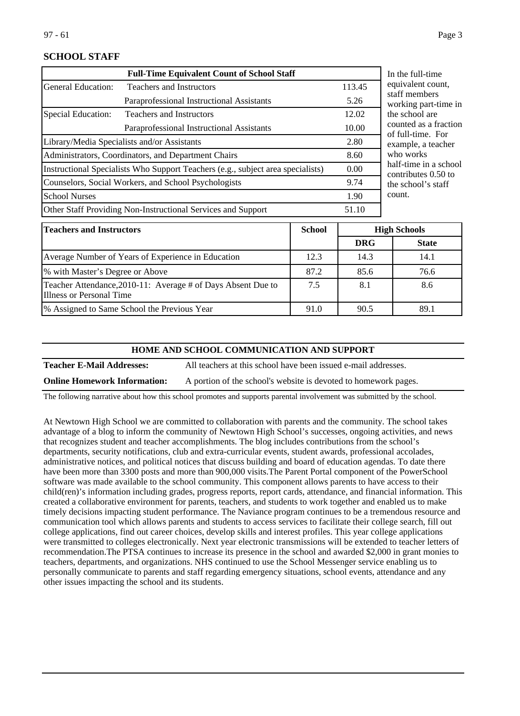# **SCHOOL STAFF**

| <b>Full-Time Equivalent Count of School Staff</b>                               |                                           |       | In the full-time                      |
|---------------------------------------------------------------------------------|-------------------------------------------|-------|---------------------------------------|
| General Education:                                                              | <b>Teachers and Instructors</b>           |       | equivalent coun                       |
|                                                                                 | Paraprofessional Instructional Assistants | 5.26  | staff members<br>working part-tin     |
| Special Education:                                                              | <b>Teachers and Instructors</b>           | 12.02 | the school are                        |
|                                                                                 | Paraprofessional Instructional Assistants | 10.00 | counted as a frag<br>of full-time. Fo |
| Library/Media Specialists and/or Assistants                                     |                                           | 2.80  | example, a teach                      |
| Administrators, Coordinators, and Department Chairs                             |                                           | 8.60  | who works                             |
| Instructional Specialists Who Support Teachers (e.g., subject area specialists) |                                           | 0.00  | half-time in a sc<br>contributes 0.50 |
| Counselors, Social Workers, and School Psychologists                            |                                           | 9.74  | the school's staf                     |
| <b>School Nurses</b>                                                            |                                           | 1.90  | count.                                |
| Other Staff Providing Non-Instructional Services and Support                    |                                           | 51.10 |                                       |
|                                                                                 |                                           |       |                                       |

equivalent count, ne in ction of full-time. For example, a teacher hool contributes 0.50 to the school's staff

| <b>Teachers and Instructors</b>                                                          | <b>School</b> |            | <b>High Schools</b> |
|------------------------------------------------------------------------------------------|---------------|------------|---------------------|
|                                                                                          |               | <b>DRG</b> | <b>State</b>        |
| Average Number of Years of Experience in Education                                       | 12.3          | 14.3       | 14.1                |
| % with Master's Degree or Above                                                          | 87.2          | 85.6       | 76.6                |
| Teacher Attendance, 2010-11: Average # of Days Absent Due to<br>Illness or Personal Time | 7.5           | 8.1        | 8.6                 |
| % Assigned to Same School the Previous Year                                              | 91.0          | 90.5       | 89.1                |

#### **HOME AND SCHOOL COMMUNICATION AND SUPPORT**

**Teacher E-Mail Addresses:** All teachers at this school have been issued e-mail addresses.

**Online Homework Information:** A portion of the school's website is devoted to homework pages.

The following narrative about how this school promotes and supports parental involvement was submitted by the school.

At Newtown High School we are committed to collaboration with parents and the community. The school takes advantage of a blog to inform the community of Newtown High School's successes, ongoing activities, and news that recognizes student and teacher accomplishments. The blog includes contributions from the school's departments, security notifications, club and extra-curricular events, student awards, professional accolades, administrative notices, and political notices that discuss building and board of education agendas. To date there have been more than 3300 posts and more than 900,000 visits.The Parent Portal component of the PowerSchool software was made available to the school community. This component allows parents to have access to their child(ren)'s information including grades, progress reports, report cards, attendance, and financial information. This created a collaborative environment for parents, teachers, and students to work together and enabled us to make timely decisions impacting student performance. The Naviance program continues to be a tremendous resource and communication tool which allows parents and students to access services to facilitate their college search, fill out college applications, find out career choices, develop skills and interest profiles. This year college applications were transmitted to colleges electronically. Next year electronic transmissions will be extended to teacher letters of recommendation.The PTSA continues to increase its presence in the school and awarded \$2,000 in grant monies to teachers, departments, and organizations. NHS continued to use the School Messenger service enabling us to personally communicate to parents and staff regarding emergency situations, school events, attendance and any other issues impacting the school and its students.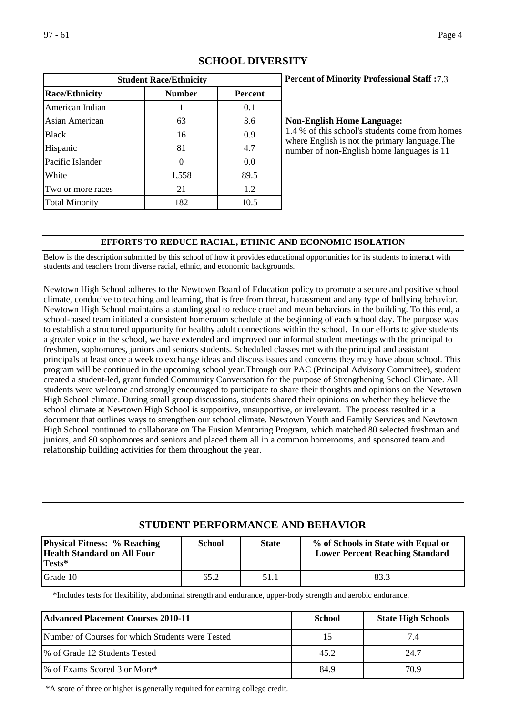| <b>Student Race/Ethnicity</b> |               |                |  |  |
|-------------------------------|---------------|----------------|--|--|
| <b>Race/Ethnicity</b>         | <b>Number</b> | <b>Percent</b> |  |  |
| American Indian               |               | 0.1            |  |  |
| Asian American                | 63            | 3.6            |  |  |
| <b>Black</b>                  | 16            | 0.9            |  |  |
| Hispanic                      | 81            | 4.7            |  |  |
| Pacific Islander              |               | 0.0            |  |  |
| White                         | 1,558         | 89.5           |  |  |
| Two or more races             | 21            | 1.2            |  |  |
| <b>Total Minority</b>         | 182           | 10.5           |  |  |

# **SCHOOL DIVERSITY**

# **Percent of Minority Professional Staff :** 7.3

#### **Non-English Home Language:**

1.4 % of this school's students come from homes where English is not the primary language.The number of non-English home languages is 11

#### **EFFORTS TO REDUCE RACIAL, ETHNIC AND ECONOMIC ISOLATION**

Below is the description submitted by this school of how it provides educational opportunities for its students to interact with students and teachers from diverse racial, ethnic, and economic backgrounds.

Newtown High School adheres to the Newtown Board of Education policy to promote a secure and positive school climate, conducive to teaching and learning, that is free from threat, harassment and any type of bullying behavior. Newtown High School maintains a standing goal to reduce cruel and mean behaviors in the building. To this end, a school-based team initiated a consistent homeroom schedule at the beginning of each school day. The purpose was to establish a structured opportunity for healthy adult connections within the school. In our efforts to give students a greater voice in the school, we have extended and improved our informal student meetings with the principal to freshmen, sophomores, juniors and seniors students. Scheduled classes met with the principal and assistant principals at least once a week to exchange ideas and discuss issues and concerns they may have about school. This program will be continued in the upcoming school year.Through our PAC (Principal Advisory Committee), student created a student-led, grant funded Community Conversation for the purpose of Strengthening School Climate. All students were welcome and strongly encouraged to participate to share their thoughts and opinions on the Newtown High School climate. During small group discussions, students shared their opinions on whether they believe the school climate at Newtown High School is supportive, unsupportive, or irrelevant. The process resulted in a document that outlines ways to strengthen our school climate. Newtown Youth and Family Services and Newtown High School continued to collaborate on The Fusion Mentoring Program, which matched 80 selected freshman and juniors, and 80 sophomores and seniors and placed them all in a common homerooms, and sponsored team and relationship building activities for them throughout the year.

# **STUDENT PERFORMANCE AND BEHAVIOR**

| <b>Physical Fitness: % Reaching</b><br><b>Health Standard on All Four</b><br>Tests* | <b>School</b> | <b>State</b> | % of Schools in State with Equal or<br><b>Lower Percent Reaching Standard</b> |
|-------------------------------------------------------------------------------------|---------------|--------------|-------------------------------------------------------------------------------|
| Grade 10                                                                            | 65.2          | 51.1         | 83.3                                                                          |

\*Includes tests for flexibility, abdominal strength and endurance, upper-body strength and aerobic endurance.

| <b>Advanced Placement Courses 2010-11</b>        | <b>School</b> | <b>State High Schools</b> |
|--------------------------------------------------|---------------|---------------------------|
| Number of Courses for which Students were Tested |               | 7.4                       |
| % of Grade 12 Students Tested                    | 45.2          | 24.7                      |
| 1% of Exams Scored 3 or More*                    | 84.9          | 70.9                      |

\*A score of three or higher is generally required for earning college credit.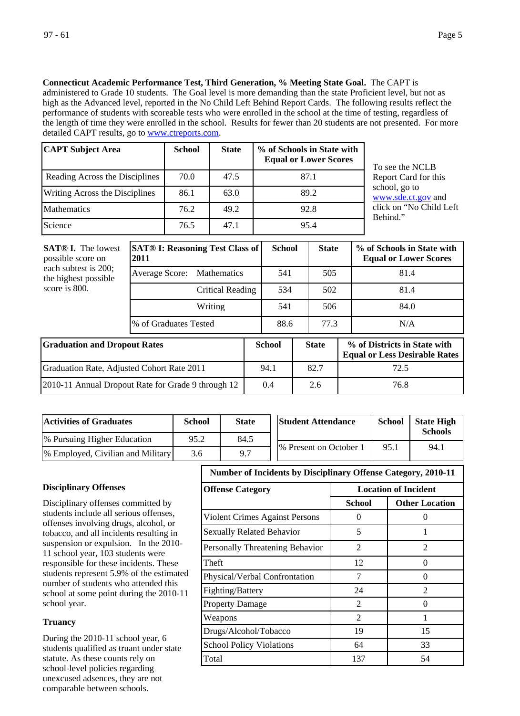**Connecticut Academic Performance Test, Third Generation, % Meeting State Goal.** The CAPT is

administered to Grade 10 students. The Goal level is more demanding than the state Proficient level, but not as high as the Advanced level, reported in the No Child Left Behind Report Cards. The following results reflect the performance of students with scoreable tests who were enrolled in the school at the time of testing, regardless of the length of time they were enrolled in the school. Results for fewer than 20 students are not presented. For more detailed CAPT results, go to [www.ctreports.com](http://www.ctreports.com/).

| <b>CAPT Subject Area</b>       | <b>School</b> | <b>State</b> | % of Schools in State with<br><b>Equal or Lower Scores</b> |
|--------------------------------|---------------|--------------|------------------------------------------------------------|
| Reading Across the Disciplines | 70.0          | 47.5         | 87.1                                                       |
| Writing Across the Disciplines | 86.1          | 63.0         | 89.2                                                       |
| <b>Mathematics</b>             | 76.2          | 49.2         | 92.8                                                       |
| Science                        | 76.5          | 47.1         | 95.4                                                       |

To see the NCLB Report Card for this school, go to [www.sde.ct.gov](http://www.sde.ct.gov/) and click on "No Child Left Behind."

| <b>SAT® I.</b> The lowest<br>possible score on<br>each subtest is 200;<br>the highest possible<br>score is 800. | <b>SAT® I: Reasoning Test Class of</b><br>2011 |      | <b>School</b> |     | <b>State</b> |  | % of Schools in State with<br><b>Equal or Lower Scores</b>           |  |
|-----------------------------------------------------------------------------------------------------------------|------------------------------------------------|------|---------------|-----|--------------|--|----------------------------------------------------------------------|--|
|                                                                                                                 | Average Score:<br><b>Mathematics</b>           |      | 541           |     | 505          |  | 81.4                                                                 |  |
|                                                                                                                 | Critical Reading                               |      | 534           | 502 |              |  | 81.4                                                                 |  |
|                                                                                                                 | Writing                                        |      | 541           |     | 506          |  | 84.0                                                                 |  |
|                                                                                                                 | % of Graduates Tested                          |      | 88.6          |     | 77.3         |  | N/A                                                                  |  |
| <b>Graduation and Dropout Rates</b>                                                                             |                                                |      | <b>School</b> |     | <b>State</b> |  | % of Districts in State with<br><b>Equal or Less Desirable Rates</b> |  |
| Graduation Rate, Adjusted Cohort Rate 2011                                                                      |                                                | 94.1 |               |     | 82.7         |  | 72.5                                                                 |  |
| 2010-11 Annual Dropout Rate for Grade 9 through 12                                                              |                                                | 0.4  |               |     | 2.6          |  | 76.8                                                                 |  |

| <b>Activities of Graduates</b>            | <b>School</b><br><b>State</b> |      | <b>Student Attendance</b> | <b>School</b> | <b>State High</b><br><b>Schools</b> |
|-------------------------------------------|-------------------------------|------|---------------------------|---------------|-------------------------------------|
| <sup>[96]</sup> Pursuing Higher Education | 95.2                          | 84.5 |                           | 95.1          | 94.1                                |
| [% Employed, Civilian and Military]       | 3.6                           | 9.7  | 1% Present on October 1   |               |                                     |

# **Disciplinary Offenses**

Disciplinary offenses committed by students include all serious offenses, offenses involving drugs, alcohol, or tobacco, and all incidents resulting in suspension or expulsion. In the 2010- 11 school year, 103 students were responsible for these incidents. These students represent 5.9% of the estimated number of students who attended this school at some point during the 2010-11 school year.

#### **Truancy**

During the 2010-11 school year, 6 students qualified as truant under state statute. As these counts rely on school-level policies regarding unexcused adsences, they are not comparable between schools.

### **Number of Incidents by Disciplinary Offense Category, 2010-11**

| <b>Offense Category</b>          | <b>Location of Incident</b> |                       |  |  |  |
|----------------------------------|-----------------------------|-----------------------|--|--|--|
|                                  | School                      | <b>Other Location</b> |  |  |  |
| Violent Crimes Against Persons   | $\Omega$                    |                       |  |  |  |
| <b>Sexually Related Behavior</b> | 5                           |                       |  |  |  |
| Personally Threatening Behavior  | 2                           | $\mathfrak{D}$        |  |  |  |
| Theft                            | 12                          | 0                     |  |  |  |
| Physical/Verbal Confrontation    | 7                           | $\mathbf{\Omega}$     |  |  |  |
| Fighting/Battery                 | 24                          | $\mathfrak{D}$        |  |  |  |
| <b>Property Damage</b>           | 2                           | $\mathbf{\Omega}$     |  |  |  |
| Weapons                          | $\mathfrak{D}$              |                       |  |  |  |
| Drugs/Alcohol/Tobacco            | 19                          | 15                    |  |  |  |
| <b>School Policy Violations</b>  | 64                          | 33                    |  |  |  |
| Total                            | 137                         | 54                    |  |  |  |